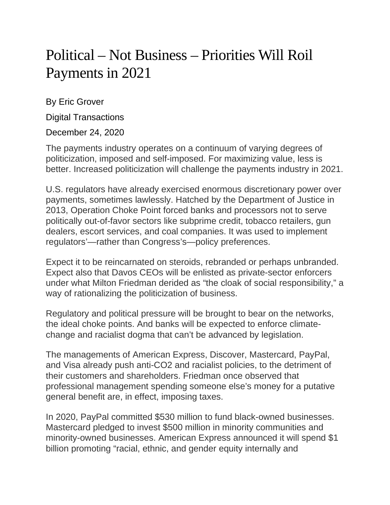## Political – Not Business – Priorities Will Roil Payments in 2021

By Eric Grover

Digital Transactions

December 24, 2020

The payments industry operates on a continuum of varying degrees of politicization, imposed and self-imposed. For maximizing value, less is better. Increased politicization will challenge the payments industry in 2021.

U.S. regulators have already exercised enormous discretionary power over payments, sometimes lawlessly. Hatched by the Department of Justice in 2013, Operation Choke Point forced banks and processors not to serve politically out-of-favor sectors like subprime credit, tobacco retailers, gun dealers, escort services, and coal companies. It was used to implement regulators'—rather than Congress's—policy preferences.

Expect it to be reincarnated on steroids, rebranded or perhaps unbranded. Expect also that Davos CEOs will be enlisted as private-sector enforcers under what Milton Friedman derided as "the cloak of social responsibility," a way of rationalizing the politicization of business.

Regulatory and political pressure will be brought to bear on the networks, the ideal choke points. And banks will be expected to enforce climatechange and racialist dogma that can't be advanced by legislation.

The managements of American Express, Discover, Mastercard, PayPal, and Visa already push anti-CO2 and racialist policies, to the detriment of their customers and shareholders. Friedman once observed that professional management spending someone else's money for a putative general benefit are, in effect, imposing taxes.

In 2020, PayPal committed \$530 million to fund black-owned businesses. Mastercard pledged to invest \$500 million in minority communities and minority-owned businesses. American Express announced it will spend \$1 billion promoting "racial, ethnic, and gender equity internally and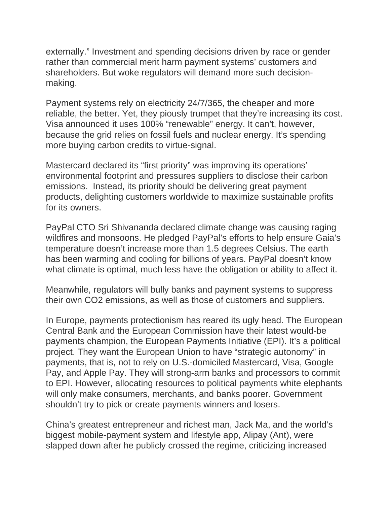externally." Investment and spending decisions driven by race or gender rather than commercial merit harm payment systems' customers and shareholders. But woke regulators will demand more such decisionmaking.

Payment systems rely on electricity 24/7/365, the cheaper and more reliable, the better. Yet, they piously trumpet that they're increasing its cost. Visa announced it uses 100% "renewable" energy. It can't, however, because the grid relies on fossil fuels and nuclear energy. It's spending more buying carbon credits to virtue-signal.

Mastercard declared its "first priority" was improving its operations' environmental footprint and pressures suppliers to disclose their carbon emissions. Instead, its priority should be delivering great payment products, delighting customers worldwide to maximize sustainable profits for its owners.

PayPal CTO Sri Shivananda declared climate change was causing raging wildfires and monsoons. He pledged PayPal's efforts to help ensure Gaia's temperature doesn't increase more than 1.5 degrees Celsius. The earth has been warming and cooling for billions of years. PayPal doesn't know what climate is optimal, much less have the obligation or ability to affect it.

Meanwhile, regulators will bully banks and payment systems to suppress their own CO2 emissions, as well as those of customers and suppliers.

In Europe, payments protectionism has reared its ugly head. The European Central Bank and the European Commission have their latest would-be payments champion, the European Payments Initiative (EPI). It's a political project. They want the European Union to have "strategic autonomy" in payments, that is, not to rely on U.S.-domiciled Mastercard, Visa, Google Pay, and Apple Pay. They will strong-arm banks and processors to commit to EPI. However, allocating resources to political payments white elephants will only make consumers, merchants, and banks poorer. Government shouldn't try to pick or create payments winners and losers.

China's greatest entrepreneur and richest man, Jack Ma, and the world's biggest mobile-payment system and lifestyle app, Alipay (Ant), were slapped down after he publicly crossed the regime, criticizing increased